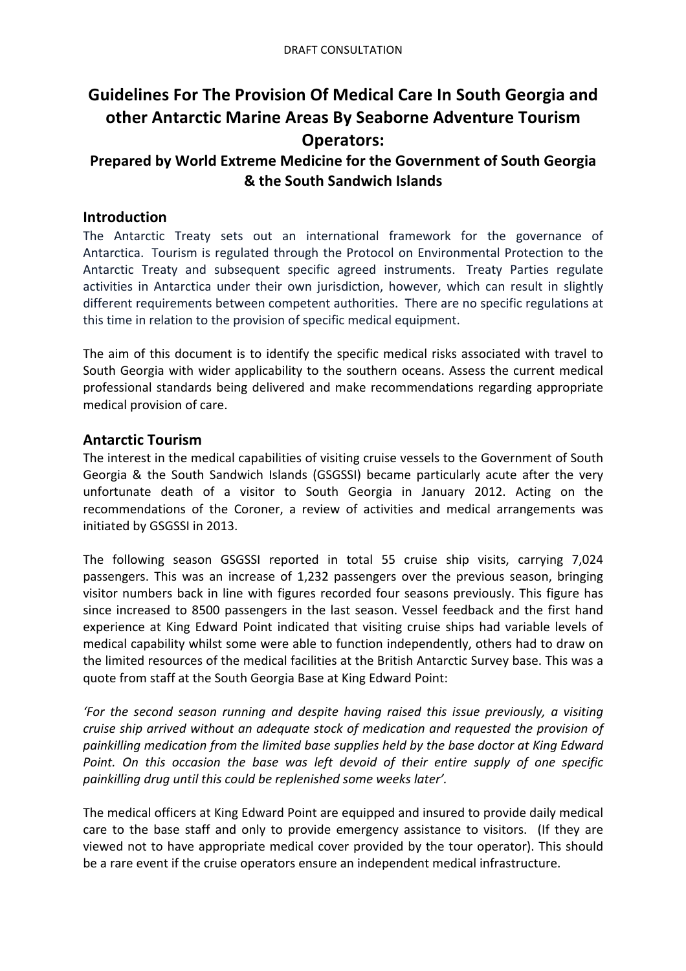# **Guidelines For The Provision Of Medical Care In South Georgia and other Antarctic Marine Areas By Seaborne Adventure Tourism Operators:**

# **Prepared by World Extreme Medicine for the Government of South Georgia & the South Sandwich Islands**

## **Introduction**

The Antarctic Treaty sets out an international framework for the governance of Antarctica. Tourism is regulated through the Protocol on Environmental Protection to the Antarctic Treaty and subsequent specific agreed instruments. Treaty Parties regulate activities in Antarctica under their own jurisdiction, however, which can result in slightly different requirements between competent authorities. There are no specific regulations at this time in relation to the provision of specific medical equipment.

The aim of this document is to identify the specific medical risks associated with travel to South Georgia with wider applicability to the southern oceans. Assess the current medical professional standards being delivered and make recommendations regarding appropriate medical provision of care.

## **Antarctic Tourism**

The interest in the medical capabilities of visiting cruise vessels to the Government of South Georgia & the South Sandwich Islands (GSGSSI) became particularly acute after the very unfortunate death of a visitor to South Georgia in January 2012. Acting on the recommendations of the Coroner, a review of activities and medical arrangements was initiated by GSGSSI in 2013.

The following season GSGSSI reported in total 55 cruise ship visits, carrying 7,024 passengers. This was an increase of 1,232 passengers over the previous season, bringing visitor numbers back in line with figures recorded four seasons previously. This figure has since increased to 8500 passengers in the last season. Vessel feedback and the first hand experience at King Edward Point indicated that visiting cruise ships had variable levels of medical capability whilst some were able to function independently, others had to draw on the limited resources of the medical facilities at the British Antarctic Survey base. This was a quote from staff at the South Georgia Base at King Edward Point:

'For the second season running and despite having raised this issue previously, a visiting *cruise ship arrived without an adequate stock of medication and requested the provision of* painkilling medication from the limited base supplies held by the base doctor at King Edward Point. On this occasion the base was left devoid of their entire supply of one specific painkilling drug until this could be replenished some weeks later'.

The medical officers at King Edward Point are equipped and insured to provide daily medical care to the base staff and only to provide emergency assistance to visitors. (If they are viewed not to have appropriate medical cover provided by the tour operator). This should be a rare event if the cruise operators ensure an independent medical infrastructure.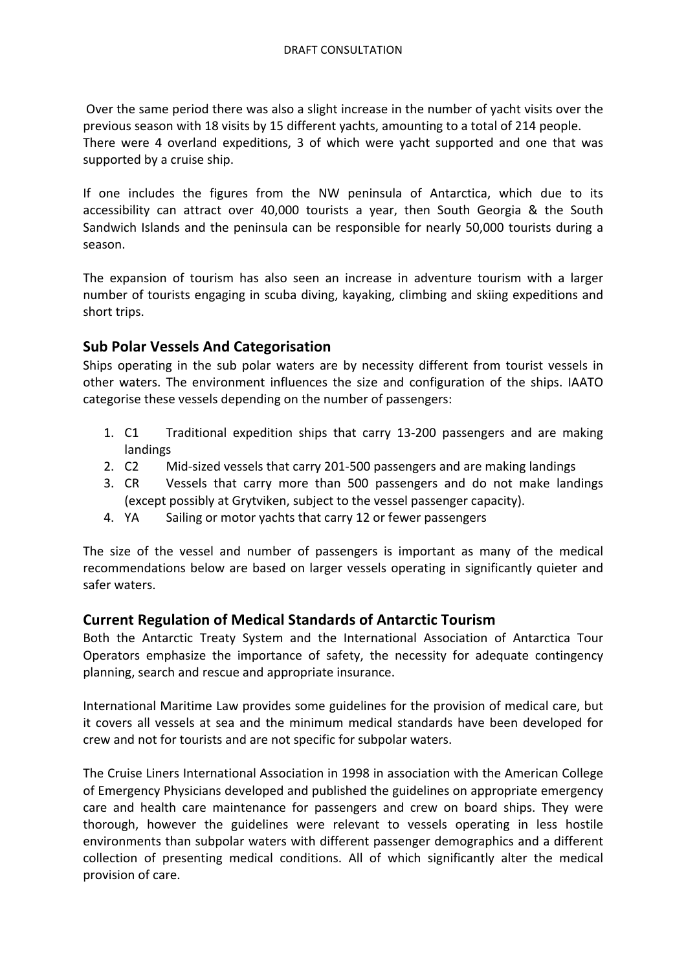Over the same period there was also a slight increase in the number of yacht visits over the previous season with 18 visits by 15 different vachts, amounting to a total of 214 people. There were 4 overland expeditions, 3 of which were yacht supported and one that was supported by a cruise ship.

If one includes the figures from the NW peninsula of Antarctica, which due to its accessibility can attract over 40,000 tourists a year, then South Georgia & the South Sandwich Islands and the peninsula can be responsible for nearly 50,000 tourists during a season. 

The expansion of tourism has also seen an increase in adventure tourism with a larger number of tourists engaging in scuba diving, kayaking, climbing and skiing expeditions and short trips.

# **Sub Polar Vessels And Categorisation**

Ships operating in the sub polar waters are by necessity different from tourist vessels in other waters. The environment influences the size and configuration of the ships. IAATO categorise these vessels depending on the number of passengers:

- 1. C1 Traditional expedition ships that carry 13-200 passengers and are making landings
- 2. C2 Mid-sized vessels that carry 201-500 passengers and are making landings
- 3. CR Vessels that carry more than 500 passengers and do not make landings (except possibly at Grytviken, subject to the vessel passenger capacity).
- 4. YA Sailing or motor yachts that carry 12 or fewer passengers

The size of the vessel and number of passengers is important as many of the medical recommendations below are based on larger vessels operating in significantly quieter and safer waters.

# **Current Regulation of Medical Standards of Antarctic Tourism**

Both the Antarctic Treaty System and the International Association of Antarctica Tour Operators emphasize the importance of safety, the necessity for adequate contingency planning, search and rescue and appropriate insurance.

International Maritime Law provides some guidelines for the provision of medical care, but it covers all vessels at sea and the minimum medical standards have been developed for crew and not for tourists and are not specific for subpolar waters.

The Cruise Liners International Association in 1998 in association with the American College of Emergency Physicians developed and published the guidelines on appropriate emergency care and health care maintenance for passengers and crew on board ships. They were thorough, however the guidelines were relevant to vessels operating in less hostile environments than subpolar waters with different passenger demographics and a different collection of presenting medical conditions. All of which significantly alter the medical provision of care.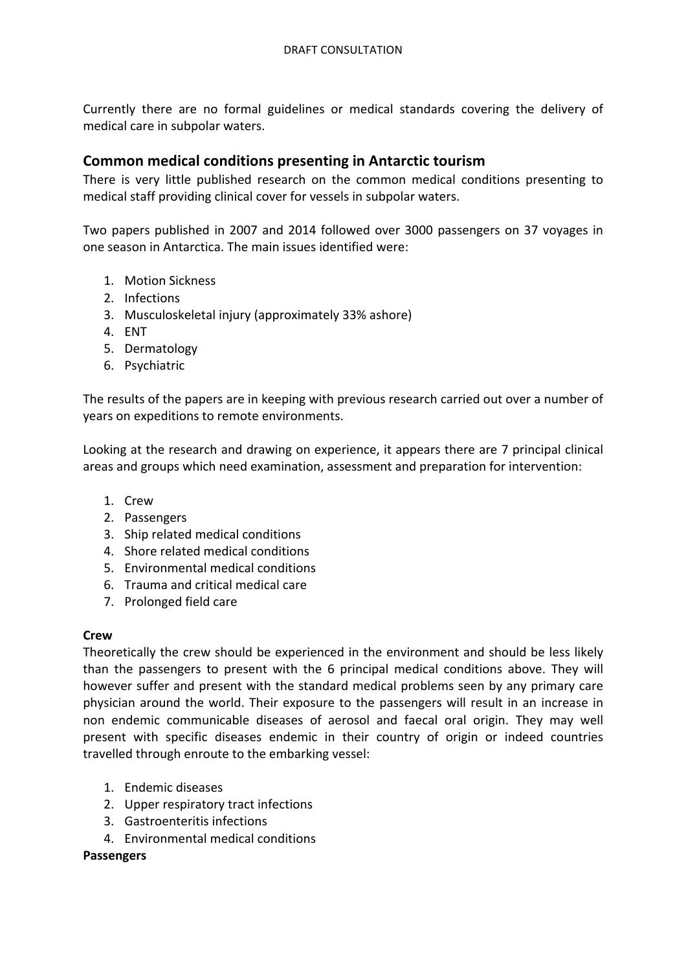Currently there are no formal guidelines or medical standards covering the delivery of medical care in subpolar waters.

## **Common medical conditions presenting in Antarctic tourism**

There is very little published research on the common medical conditions presenting to medical staff providing clinical cover for vessels in subpolar waters.

Two papers published in 2007 and 2014 followed over 3000 passengers on 37 voyages in one season in Antarctica. The main issues identified were:

- 1. Motion Sickness
- 2. Infections
- 3. Musculoskeletal injury (approximately 33% ashore)
- 4. ENT
- 5. Dermatology
- 6. Psychiatric

The results of the papers are in keeping with previous research carried out over a number of years on expeditions to remote environments.

Looking at the research and drawing on experience, it appears there are 7 principal clinical areas and groups which need examination, assessment and preparation for intervention:

- 1. Crew
- 2. Passengers
- 3. Ship related medical conditions
- 4. Shore related medical conditions
- 5. Environmental medical conditions
- 6. Trauma and critical medical care
- 7. Prolonged field care

#### **Crew**

Theoretically the crew should be experienced in the environment and should be less likely than the passengers to present with the 6 principal medical conditions above. They will however suffer and present with the standard medical problems seen by any primary care physician around the world. Their exposure to the passengers will result in an increase in non endemic communicable diseases of aerosol and faecal oral origin. They may well present with specific diseases endemic in their country of origin or indeed countries travelled through enroute to the embarking vessel:

- 1. Endemic diseases
- 2. Upper respiratory tract infections
- 3. Gastroenteritis infections
- 4. Environmental medical conditions

**Passengers**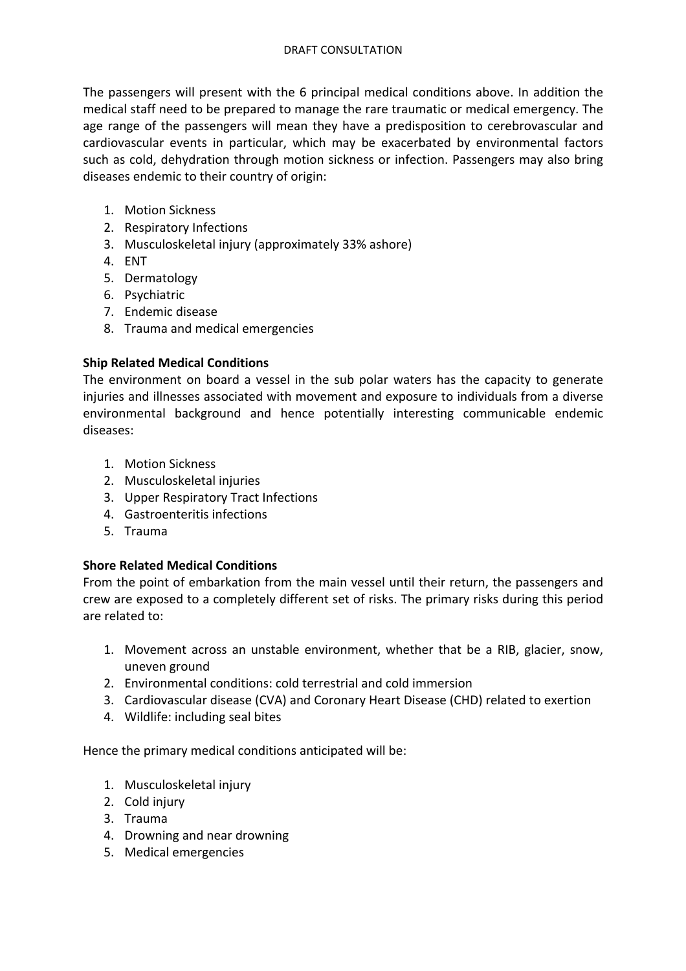The passengers will present with the 6 principal medical conditions above. In addition the medical staff need to be prepared to manage the rare traumatic or medical emergency. The age range of the passengers will mean they have a predisposition to cerebrovascular and cardiovascular events in particular, which may be exacerbated by environmental factors such as cold, dehydration through motion sickness or infection. Passengers may also bring diseases endemic to their country of origin:

- 1. Motion Sickness
- 2. Respiratory Infections
- 3. Musculoskeletal injury (approximately 33% ashore)
- 4. ENT
- 5. Dermatology
- 6. Psychiatric
- 7. Endemic disease
- 8. Trauma and medical emergencies

### **Ship Related Medical Conditions**

The environment on board a vessel in the sub polar waters has the capacity to generate injuries and illnesses associated with movement and exposure to individuals from a diverse environmental background and hence potentially interesting communicable endemic diseases:

- 1. Motion Sickness
- 2. Musculoskeletal injuries
- 3. Upper Respiratory Tract Infections
- 4. Gastroenteritis infections
- 5. Trauma

### **Shore Related Medical Conditions**

From the point of embarkation from the main vessel until their return, the passengers and crew are exposed to a completely different set of risks. The primary risks during this period are related to:

- 1. Movement across an unstable environment, whether that be a RIB, glacier, snow, uneven ground
- 2. Environmental conditions: cold terrestrial and cold immersion
- 3. Cardiovascular disease (CVA) and Coronary Heart Disease (CHD) related to exertion
- 4. Wildlife: including seal bites

Hence the primary medical conditions anticipated will be:

- 1. Musculoskeletal injury
- 2. Cold injury
- 3. Trauma
- 4. Drowning and near drowning
- 5. Medical emergencies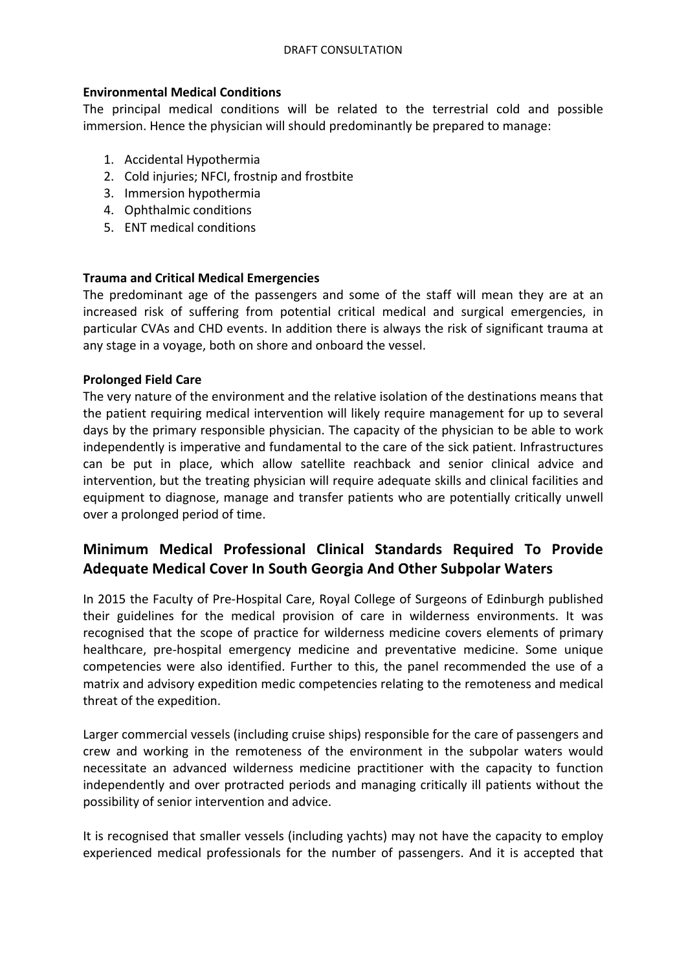#### **Environmental Medical Conditions**

The principal medical conditions will be related to the terrestrial cold and possible immersion. Hence the physician will should predominantly be prepared to manage:

- 1. Accidental Hypothermia
- 2. Cold injuries; NFCI, frostnip and frostbite
- 3. Immersion hypothermia
- 4. Ophthalmic conditions
- 5. **ENT** medical conditions

#### **Trauma and Critical Medical Emergencies**

The predominant age of the passengers and some of the staff will mean they are at an increased risk of suffering from potential critical medical and surgical emergencies, in particular CVAs and CHD events. In addition there is always the risk of significant trauma at any stage in a voyage, both on shore and onboard the vessel.

#### **Prolonged Field Care**

The very nature of the environment and the relative isolation of the destinations means that the patient requiring medical intervention will likely require management for up to several days by the primary responsible physician. The capacity of the physician to be able to work independently is imperative and fundamental to the care of the sick patient. Infrastructures can be put in place, which allow satellite reachback and senior clinical advice and intervention, but the treating physician will require adequate skills and clinical facilities and equipment to diagnose, manage and transfer patients who are potentially critically unwell over a prolonged period of time.

# **Minimum Medical Professional Clinical Standards Required To Provide Adequate Medical Cover In South Georgia And Other Subpolar Waters**

In 2015 the Faculty of Pre-Hospital Care, Royal College of Surgeons of Edinburgh published their guidelines for the medical provision of care in wilderness environments. It was recognised that the scope of practice for wilderness medicine covers elements of primary healthcare, pre-hospital emergency medicine and preventative medicine. Some unique competencies were also identified. Further to this, the panel recommended the use of a matrix and advisory expedition medic competencies relating to the remoteness and medical threat of the expedition.

Larger commercial vessels (including cruise ships) responsible for the care of passengers and crew and working in the remoteness of the environment in the subpolar waters would necessitate an advanced wilderness medicine practitioner with the capacity to function independently and over protracted periods and managing critically ill patients without the possibility of senior intervention and advice.

It is recognised that smaller vessels (including yachts) may not have the capacity to employ experienced medical professionals for the number of passengers. And it is accepted that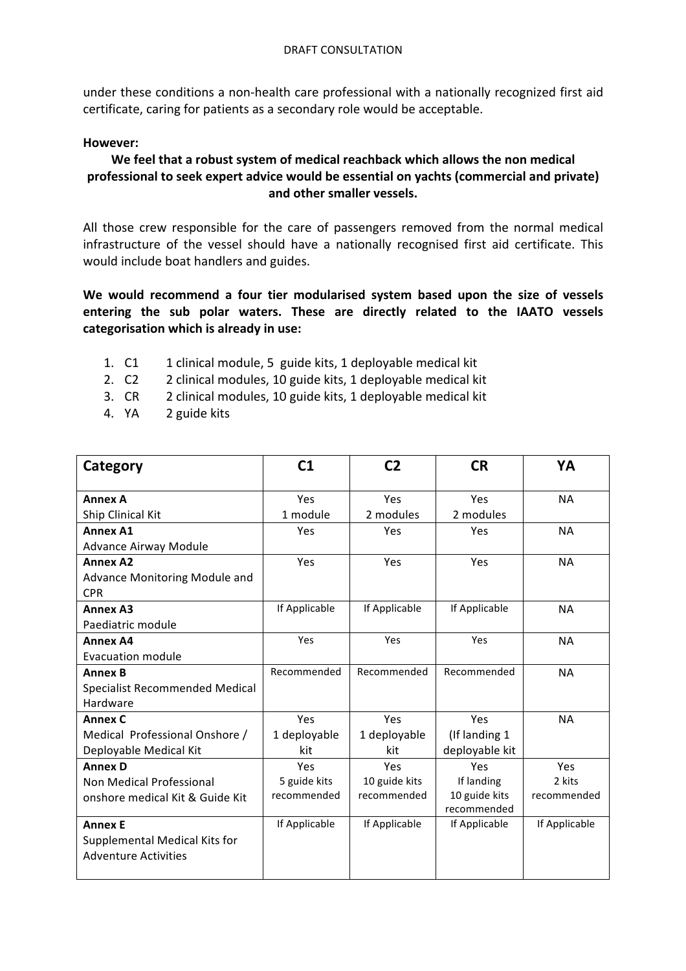under these conditions a non-health care professional with a nationally recognized first aid certificate, caring for patients as a secondary role would be acceptable.

#### **However:**

### We feel that a robust system of medical reachback which allows the non medical professional to seek expert advice would be essential on yachts (commercial and private) **and other smaller vessels.**

All those crew responsible for the care of passengers removed from the normal medical infrastructure of the vessel should have a nationally recognised first aid certificate. This would include boat handlers and guides.

We would recommend a four tier modularised system based upon the size of vessels entering the sub polar waters. These are directly related to the IAATO vessels categorisation which is already in use:

- 1. C1 1 clinical module, 5 guide kits, 1 deployable medical kit
- 2. C2 2 clinical modules, 10 guide kits, 1 deployable medical kit
- 3. CR 2 clinical modules, 10 guide kits, 1 deployable medical kit
- 4. YA 2 guide kits

| Category                        | C1            | C <sub>2</sub> | <b>CR</b>      | YA            |
|---------------------------------|---------------|----------------|----------------|---------------|
|                                 |               |                |                |               |
| <b>Annex A</b>                  | Yes           | Yes            | Yes            | <b>NA</b>     |
| Ship Clinical Kit               | 1 module      | 2 modules      | 2 modules      |               |
| <b>Annex A1</b>                 | Yes           | Yes            | Yes            | <b>NA</b>     |
| <b>Advance Airway Module</b>    |               |                |                |               |
| <b>Annex A2</b>                 | Yes           | Yes            | Yes            | <b>NA</b>     |
| Advance Monitoring Module and   |               |                |                |               |
| <b>CPR</b>                      |               |                |                |               |
| <b>Annex A3</b>                 | If Applicable | If Applicable  | If Applicable  | <b>NA</b>     |
| Paediatric module               |               |                |                |               |
| <b>Annex A4</b>                 | Yes           | Yes            | Yes            | <b>NA</b>     |
| <b>Evacuation module</b>        |               |                |                |               |
| <b>Annex B</b>                  | Recommended   | Recommended    | Recommended    | <b>NA</b>     |
| Specialist Recommended Medical  |               |                |                |               |
| Hardware                        |               |                |                |               |
| <b>Annex C</b>                  | Yes           | Yes            | Yes            | <b>NA</b>     |
| Medical Professional Onshore /  | 1 deployable  | 1 deployable   | (If landing 1  |               |
| Deployable Medical Kit          | kit           | kit            | deployable kit |               |
| <b>Annex D</b>                  | Yes           | Yes            | Yes            | Yes           |
| Non Medical Professional        | 5 guide kits  | 10 guide kits  | If landing     | 2 kits        |
| onshore medical Kit & Guide Kit | recommended   | recommended    | 10 guide kits  | recommended   |
|                                 |               |                | recommended    |               |
| <b>Annex E</b>                  | If Applicable | If Applicable  | If Applicable  | If Applicable |
| Supplemental Medical Kits for   |               |                |                |               |
| <b>Adventure Activities</b>     |               |                |                |               |
|                                 |               |                |                |               |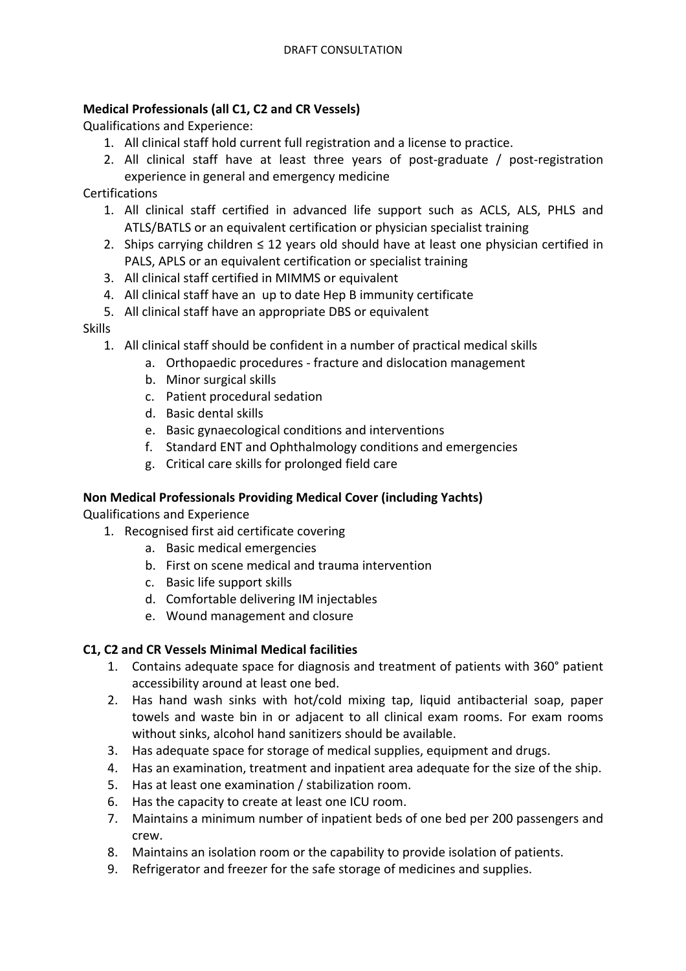## **Medical Professionals (all C1, C2 and CR Vessels)**

Qualifications and Experience:

- 1. All clinical staff hold current full registration and a license to practice.
- 2. All clinical staff have at least three years of post-graduate  $/$  post-registration experience in general and emergency medicine

Certifications

- 1. All clinical staff certified in advanced life support such as ACLS, ALS, PHLS and ATLS/BATLS or an equivalent certification or physician specialist training
- 2. Ships carrying children  $\leq$  12 years old should have at least one physician certified in PALS, APLS or an equivalent certification or specialist training
- 3. All clinical staff certified in MIMMS or equivalent
- 4. All clinical staff have an up to date Hep B immunity certificate
- 5. All clinical staff have an appropriate DBS or equivalent

### Skills

- 1. All clinical staff should be confident in a number of practical medical skills
	- a. Orthopaedic procedures fracture and dislocation management
	- b. Minor surgical skills
	- c. Patient procedural sedation
	- d. Basic dental skills
	- e. Basic gynaecological conditions and interventions
	- f. Standard ENT and Ophthalmology conditions and emergencies
	- g. Critical care skills for prolonged field care

### **Non Medical Professionals Providing Medical Cover (including Yachts)**

Qualifications and Experience

- 1. Recognised first aid certificate covering
	- a. Basic medical emergencies
	- b. First on scene medical and trauma intervention
	- c. Basic life support skills
	- d. Comfortable delivering IM injectables
	- e. Wound management and closure

### **C1, C2 and CR Vessels Minimal Medical facilities**

- 1. Contains adequate space for diagnosis and treatment of patients with 360° patient accessibility around at least one bed.
- 2. Has hand wash sinks with hot/cold mixing tap, liquid antibacterial soap, paper towels and waste bin in or adiacent to all clinical exam rooms. For exam rooms without sinks, alcohol hand sanitizers should be available.
- 3. Has adequate space for storage of medical supplies, equipment and drugs.
- 4. Has an examination, treatment and inpatient area adequate for the size of the ship.
- 5. Has at least one examination / stabilization room.
- 6. Has the capacity to create at least one ICU room.
- 7. Maintains a minimum number of inpatient beds of one bed per 200 passengers and crew.
- 8. Maintains an isolation room or the capability to provide isolation of patients.
- 9. Refrigerator and freezer for the safe storage of medicines and supplies.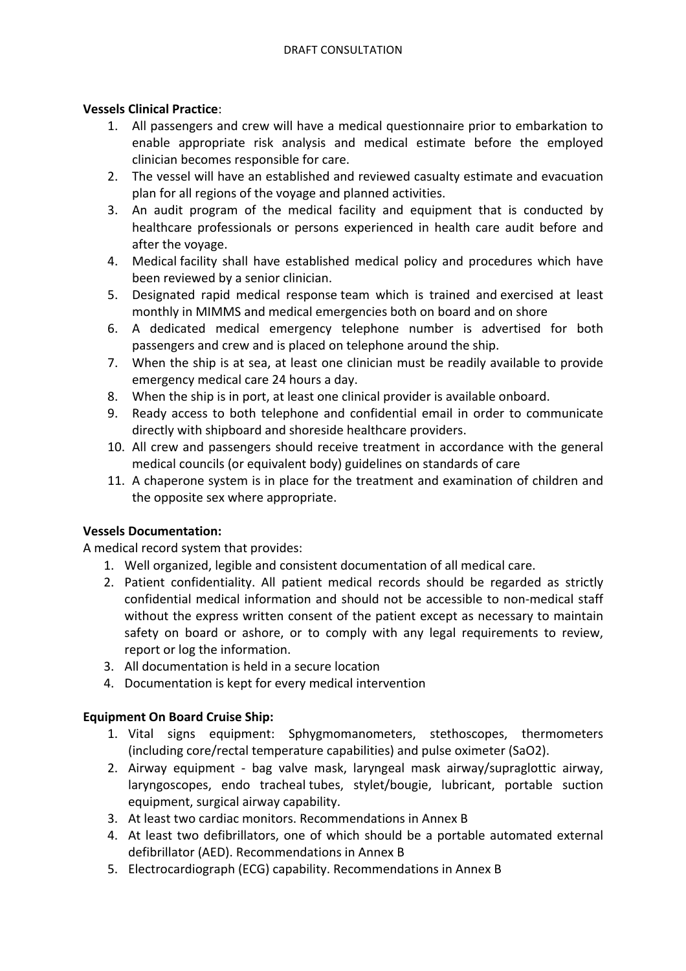#### **Vessels Clinical Practice**:

- 1. All passengers and crew will have a medical questionnaire prior to embarkation to enable appropriate risk analysis and medical estimate before the employed clinician becomes responsible for care.
- 2. The vessel will have an established and reviewed casualty estimate and evacuation plan for all regions of the voyage and planned activities.
- 3. An audit program of the medical facility and equipment that is conducted by healthcare professionals or persons experienced in health care audit before and after the voyage.
- 4. Medical facility shall have established medical policy and procedures which have been reviewed by a senior clinician.
- 5. Designated rapid medical response team which is trained and exercised at least monthly in MIMMS and medical emergencies both on board and on shore
- 6. A dedicated medical emergency telephone number is advertised for both passengers and crew and is placed on telephone around the ship.
- 7. When the ship is at sea, at least one clinician must be readily available to provide emergency medical care 24 hours a day.
- 8. When the ship is in port, at least one clinical provider is available onboard.
- 9. Ready access to both telephone and confidential email in order to communicate directly with shipboard and shoreside healthcare providers.
- 10. All crew and passengers should receive treatment in accordance with the general medical councils (or equivalent body) guidelines on standards of care
- 11. A chaperone system is in place for the treatment and examination of children and the opposite sex where appropriate.

### **Vessels Documentation:**

A medical record system that provides:

- 1. Well organized, legible and consistent documentation of all medical care.
- 2. Patient confidentiality. All patient medical records should be regarded as strictly confidential medical information and should not be accessible to non-medical staff without the express written consent of the patient except as necessary to maintain safety on board or ashore, or to comply with any legal requirements to review, report or log the information.
- 3. All documentation is held in a secure location
- 4. Documentation is kept for every medical intervention

### **Equipment On Board Cruise Ship:**

- 1. Vital signs equipment: Sphygmomanometers, stethoscopes, thermometers (including core/rectal temperature capabilities) and pulse oximeter (SaO2).
- 2. Airway equipment bag valve mask, laryngeal mask airway/supraglottic airway, laryngoscopes, endo tracheal tubes, stylet/bougie, lubricant, portable suction equipment, surgical airway capability.
- 3. At least two cardiac monitors. Recommendations in Annex B
- 4. At least two defibrillators, one of which should be a portable automated external defibrillator (AED). Recommendations in Annex B
- 5. Electrocardiograph (ECG) capability. Recommendations in Annex B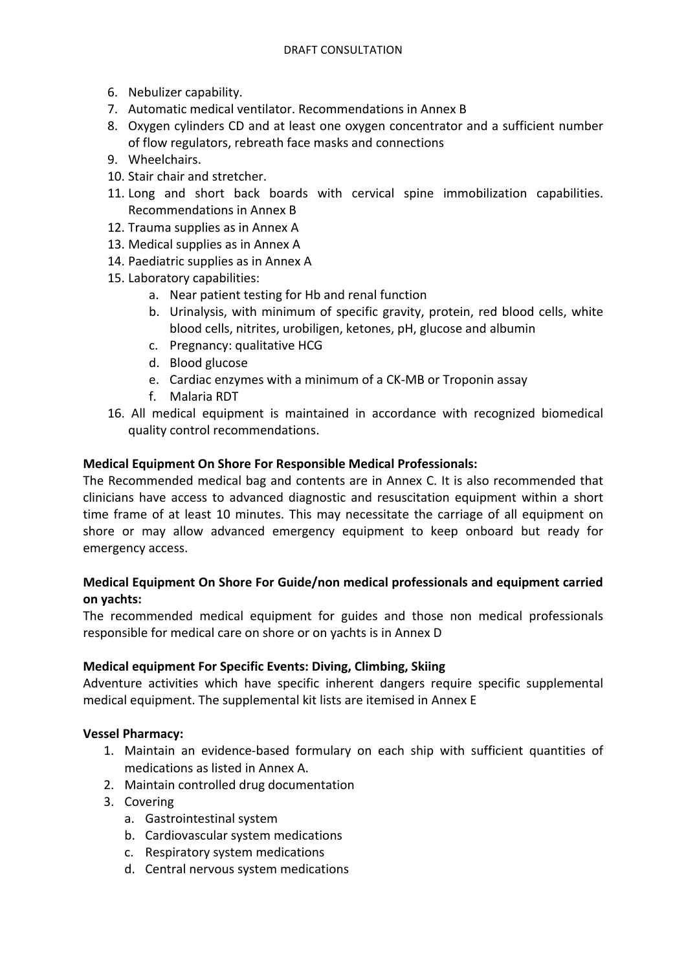- 6. Nebulizer capability.
- 7. Automatic medical ventilator. Recommendations in Annex B
- 8. Oxygen cylinders CD and at least one oxygen concentrator and a sufficient number of flow regulators, rebreath face masks and connections
- 9. Wheelchairs.
- 10. Stair chair and stretcher.
- 11. Long and short back boards with cervical spine immobilization capabilities. Recommendations in Annex B
- 12. Trauma supplies as in Annex A
- 13. Medical supplies as in Annex A
- 14. Paediatric supplies as in Annex A
- 15. Laboratory capabilities:
	- a. Near patient testing for Hb and renal function
	- b. Urinalysis, with minimum of specific gravity, protein, red blood cells, white blood cells, nitrites, urobiligen, ketones, pH, glucose and albumin
	- c. Pregnancy: qualitative HCG
	- d. Blood glucose
	- e. Cardiac enzymes with a minimum of a CK-MB or Troponin assay
	- f. Malaria RDT
- 16. All medical equipment is maintained in accordance with recognized biomedical quality control recommendations.

#### **Medical Equipment On Shore For Responsible Medical Professionals:**

The Recommended medical bag and contents are in Annex C. It is also recommended that clinicians have access to advanced diagnostic and resuscitation equipment within a short time frame of at least 10 minutes. This may necessitate the carriage of all equipment on shore or may allow advanced emergency equipment to keep onboard but ready for emergency access.

### **Medical Equipment On Shore For Guide/non medical professionals and equipment carried on yachts:**

The recommended medical equipment for guides and those non medical professionals responsible for medical care on shore or on yachts is in Annex D

#### **Medical equipment For Specific Events: Diving, Climbing, Skiing**

Adventure activities which have specific inherent dangers require specific supplemental medical equipment. The supplemental kit lists are itemised in Annex E

#### **Vessel Pharmacy:**

- 1. Maintain an evidence-based formulary on each ship with sufficient quantities of medications as listed in Annex A.
- 2. Maintain controlled drug documentation
- 3. Covering
	- a. Gastrointestinal system
	- b. Cardiovascular system medications
	- c. Respiratory system medications
	- d. Central nervous system medications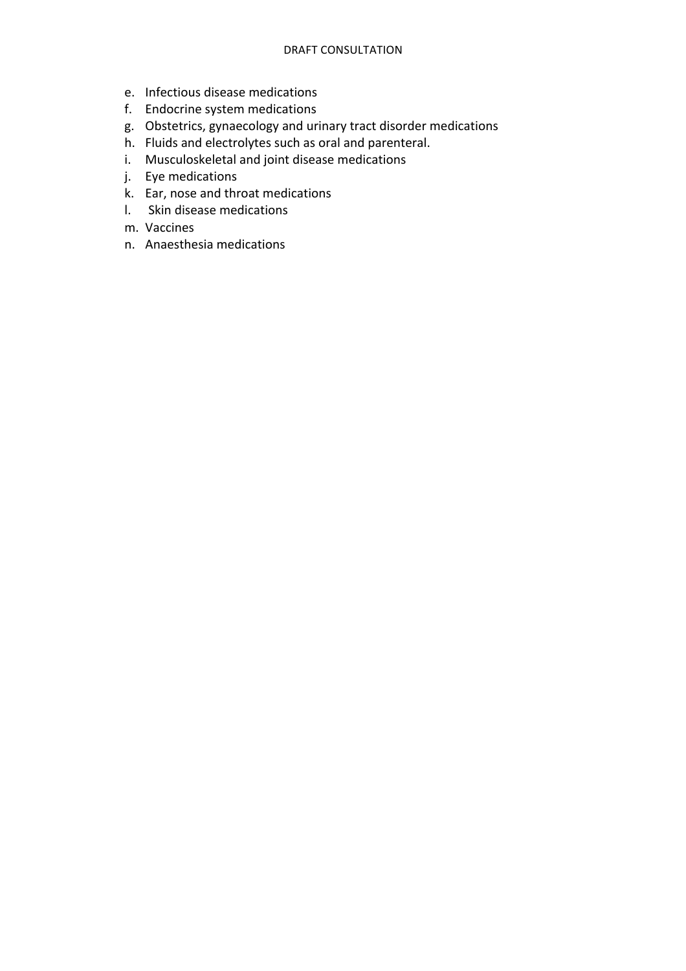- e. Infectious disease medications
- f. Endocrine system medications
- g. Obstetrics, gynaecology and urinary tract disorder medications
- h. Fluids and electrolytes such as oral and parenteral.
- i. Musculoskeletal and joint disease medications
- j. Eye medications
- k. Ear, nose and throat medications
- l. Skin disease medications
- m. Vaccines
- n. Anaesthesia medications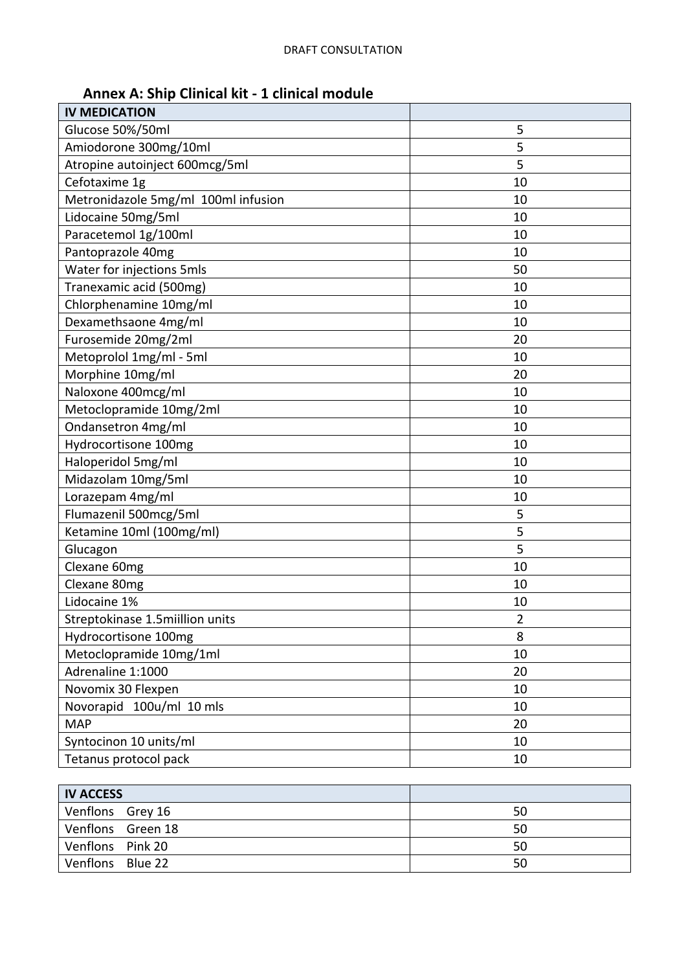# **Annex A: Ship Clinical kit - 1 clinical module**

| <b>IV MEDICATION</b>                |                |
|-------------------------------------|----------------|
| Glucose 50%/50ml                    | 5              |
| Amiodorone 300mg/10ml               | 5              |
| Atropine autoinject 600mcg/5ml      | 5              |
| Cefotaxime 1g                       | 10             |
| Metronidazole 5mg/ml 100ml infusion | 10             |
| Lidocaine 50mg/5ml                  | 10             |
| Paracetemol 1g/100ml                | 10             |
| Pantoprazole 40mg                   | 10             |
| Water for injections 5mls           | 50             |
| Tranexamic acid (500mg)             | 10             |
| Chlorphenamine 10mg/ml              | 10             |
| Dexamethsaone 4mg/ml                | 10             |
| Furosemide 20mg/2ml                 | 20             |
| Metoprolol 1mg/ml - 5ml             | 10             |
| Morphine 10mg/ml                    | 20             |
| Naloxone 400mcg/ml                  | 10             |
| Metoclopramide 10mg/2ml             | 10             |
| Ondansetron 4mg/ml                  | 10             |
| Hydrocortisone 100mg                | 10             |
| Haloperidol 5mg/ml                  | 10             |
| Midazolam 10mg/5ml                  | 10             |
| Lorazepam 4mg/ml                    | 10             |
| Flumazenil 500mcg/5ml               | 5              |
| Ketamine 10ml (100mg/ml)            | 5              |
| Glucagon                            | 5              |
| Clexane 60mg                        | 10             |
| Clexane 80mg                        | 10             |
| Lidocaine 1%                        | 10             |
| Streptokinase 1.5miillion units     | $\overline{2}$ |
| Hydrocortisone 100mg                | 8              |
| Metoclopramide 10mg/1ml             | 10             |
| Adrenaline 1:1000                   | 20             |
| Novomix 30 Flexpen                  | 10             |
| Novorapid 100u/ml 10 mls            | 10             |
| <b>MAP</b>                          | 20             |
| Syntocinon 10 units/ml              | 10             |
| Tetanus protocol pack               | 10             |

| <b>IV ACCESS</b>  |    |
|-------------------|----|
| Venflons Grey 16  | 50 |
| Venflons Green 18 | 50 |
| Venflons Pink 20  | 50 |
| Venflons Blue 22  | 50 |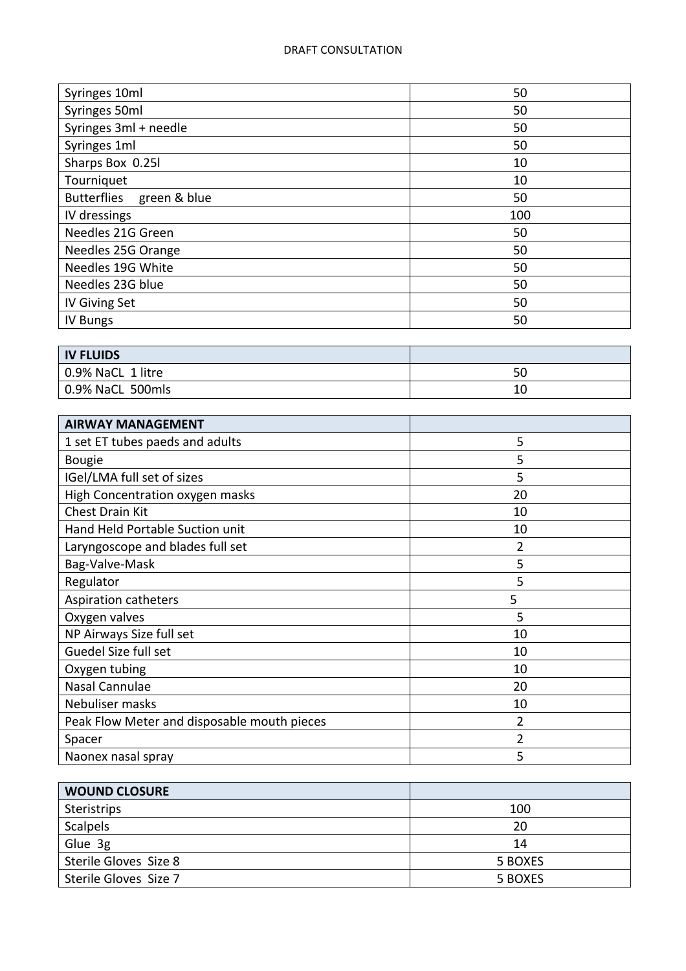| Syringes 10ml                      | 50  |
|------------------------------------|-----|
| Syringes 50ml                      | 50  |
| Syringes 3ml + needle              | 50  |
| Syringes 1ml                       | 50  |
| Sharps Box 0.25l                   | 10  |
| Tourniquet                         | 10  |
| <b>Butterflies</b><br>green & blue | 50  |
| IV dressings                       | 100 |
| Needles 21G Green                  | 50  |
| Needles 25G Orange                 | 50  |
| Needles 19G White                  | 50  |
| Needles 23G blue                   | 50  |
| IV Giving Set                      | 50  |
| <b>IV Bungs</b>                    | 50  |
|                                    |     |
| <b>IV FLUIDS</b>                   |     |

| I IV FLUIDS       |    |
|-------------------|----|
| 0.9% NaCL 1 litre | 50 |
| 0.9% NaCL 500mls  |    |

| <b>AIRWAY MANAGEMENT</b>                    |    |
|---------------------------------------------|----|
| 1 set ET tubes paeds and adults             | 5  |
| <b>Bougie</b>                               | 5  |
| IGel/LMA full set of sizes                  | 5  |
| High Concentration oxygen masks             | 20 |
| <b>Chest Drain Kit</b>                      | 10 |
| Hand Held Portable Suction unit             | 10 |
| Laryngoscope and blades full set            | 2  |
| Bag-Valve-Mask                              | 5  |
| Regulator                                   | 5  |
|                                             |    |
| Aspiration catheters                        | 5  |
| Oxygen valves                               | 5  |
| NP Airways Size full set                    | 10 |
| Guedel Size full set                        | 10 |
| Oxygen tubing                               | 10 |
| Nasal Cannulae                              | 20 |
| Nebuliser masks                             | 10 |
| Peak Flow Meter and disposable mouth pieces | 2  |
| Spacer                                      | 2  |

| <b>WOUND CLOSURE</b>  |         |
|-----------------------|---------|
| Steristrips           | 100     |
| <b>Scalpels</b>       | 20      |
| Glue 3g               | 14      |
| Sterile Gloves Size 8 | 5 BOXES |
| Sterile Gloves Size 7 | 5 BOXES |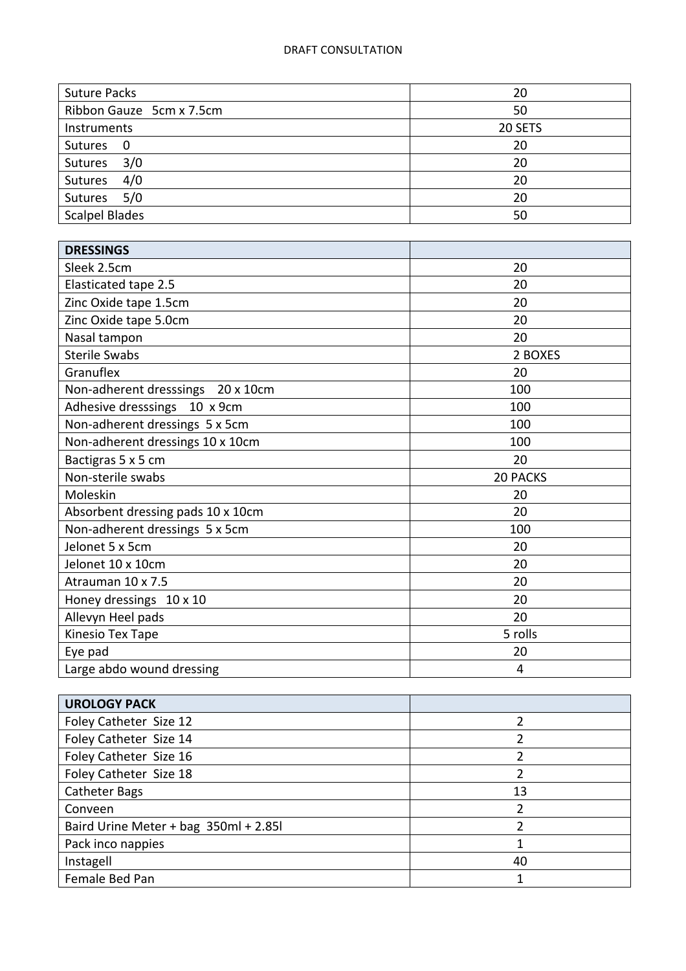| <b>Suture Packs</b>      | 20      |
|--------------------------|---------|
| Ribbon Gauze 5cm x 7.5cm | 50      |
| Instruments              | 20 SETS |
| Sutures<br>- 0           | 20      |
| 3/0<br>Sutures           | 20      |
| 4/0<br>Sutures           | 20      |
| 5/0<br>Sutures           | 20      |
| <b>Scalpel Blades</b>    | 50      |

| <b>DRESSINGS</b>                  |                 |
|-----------------------------------|-----------------|
| Sleek 2.5cm                       | 20              |
| Elasticated tape 2.5              | 20              |
| Zinc Oxide tape 1.5cm             | 20              |
| Zinc Oxide tape 5.0cm             | 20              |
| Nasal tampon                      | 20              |
| <b>Sterile Swabs</b>              | 2 BOXES         |
| Granuflex                         | 20              |
| Non-adherent dresssings 20 x 10cm | 100             |
| Adhesive dresssings 10 x 9cm      | 100             |
| Non-adherent dressings 5 x 5cm    | 100             |
| Non-adherent dressings 10 x 10cm  | 100             |
| Bactigras 5 x 5 cm                | 20              |
| Non-sterile swabs                 | <b>20 PACKS</b> |
| Moleskin                          | 20              |
| Absorbent dressing pads 10 x 10cm | 20              |
| Non-adherent dressings 5 x 5cm    | 100             |
| Jelonet 5 x 5cm                   | 20              |
| Jelonet 10 x 10cm                 | 20              |
| Atrauman 10 x 7.5                 | 20              |
| Honey dressings 10 x 10           | 20              |
| Allevyn Heel pads                 | 20              |
| Kinesio Tex Tape                  | 5 rolls         |
| Eye pad                           | 20              |
| Large abdo wound dressing         | 4               |

| <b>UROLOGY PACK</b>                   |    |
|---------------------------------------|----|
| Foley Catheter Size 12                |    |
| Foley Catheter Size 14                |    |
| Foley Catheter Size 16                |    |
| Foley Catheter Size 18                |    |
| <b>Catheter Bags</b>                  | 13 |
| Conveen                               |    |
| Baird Urine Meter + bag 350ml + 2.85l |    |
| Pack inco nappies                     |    |
| Instagell                             | 40 |
| Female Bed Pan                        |    |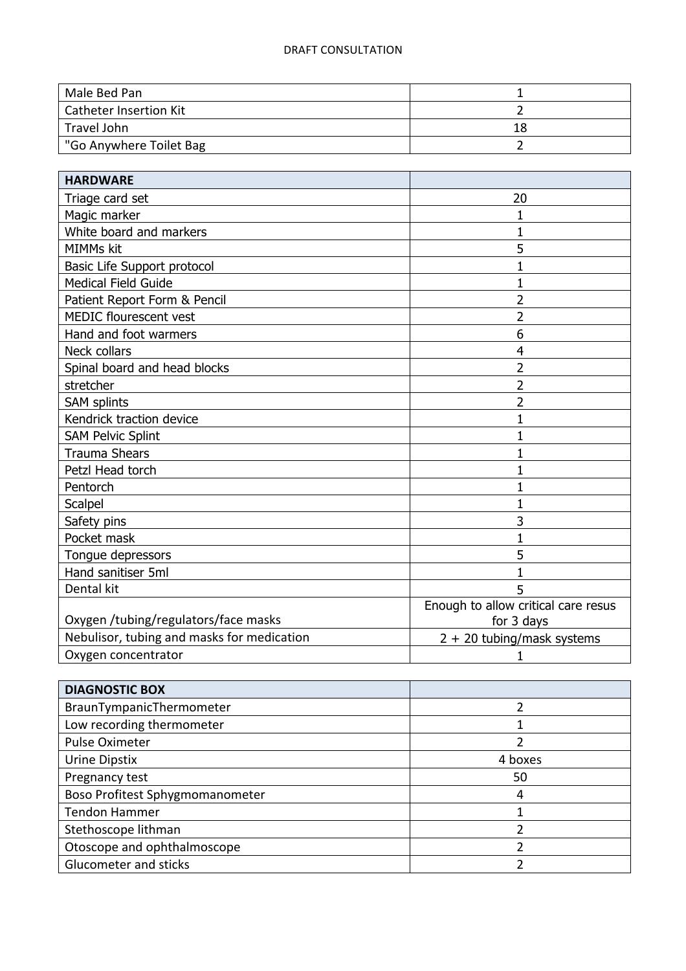| Male Bed Pan                  |    |
|-------------------------------|----|
| <b>Catheter Insertion Kit</b> |    |
| Travel John                   | 18 |
| "Go Anywhere Toilet Bag       |    |

| <b>HARDWARE</b>                            |                                     |
|--------------------------------------------|-------------------------------------|
| Triage card set                            | 20                                  |
| Magic marker                               | 1                                   |
| White board and markers                    | 1                                   |
| MIMMs kit                                  | 5                                   |
| Basic Life Support protocol                | $\mathbf 1$                         |
| <b>Medical Field Guide</b>                 | 1                                   |
| Patient Report Form & Pencil               | 2                                   |
| MEDIC flourescent vest                     | $\overline{2}$                      |
| Hand and foot warmers                      | 6                                   |
| Neck collars                               | $\overline{4}$                      |
| Spinal board and head blocks               | 2                                   |
| stretcher                                  | 2                                   |
| <b>SAM splints</b>                         | 2                                   |
| Kendrick traction device                   | 1                                   |
| <b>SAM Pelvic Splint</b>                   | 1                                   |
| <b>Trauma Shears</b>                       | 1                                   |
| Petzl Head torch                           | 1                                   |
| Pentorch                                   | 1                                   |
| Scalpel                                    | $\mathbf 1$                         |
| Safety pins                                | 3                                   |
| Pocket mask                                | 1                                   |
| Tongue depressors                          | 5                                   |
| Hand sanitiser 5ml                         | $\mathbf{1}$                        |
| Dental kit                                 | 5                                   |
|                                            | Enough to allow critical care resus |
| Oxygen /tubing/regulators/face masks       | for 3 days                          |
| Nebulisor, tubing and masks for medication | $2 + 20$ tubing/mask systems        |
| Oxygen concentrator                        | 1                                   |

| <b>DIAGNOSTIC BOX</b>           |         |
|---------------------------------|---------|
| BraunTympanicThermometer        |         |
| Low recording thermometer       |         |
| Pulse Oximeter                  |         |
| Urine Dipstix                   | 4 boxes |
| Pregnancy test                  | 50      |
| Boso Profitest Sphygmomanometer | 4       |
| <b>Tendon Hammer</b>            |         |
| Stethoscope lithman             |         |
| Otoscope and ophthalmoscope     |         |
| Glucometer and sticks           |         |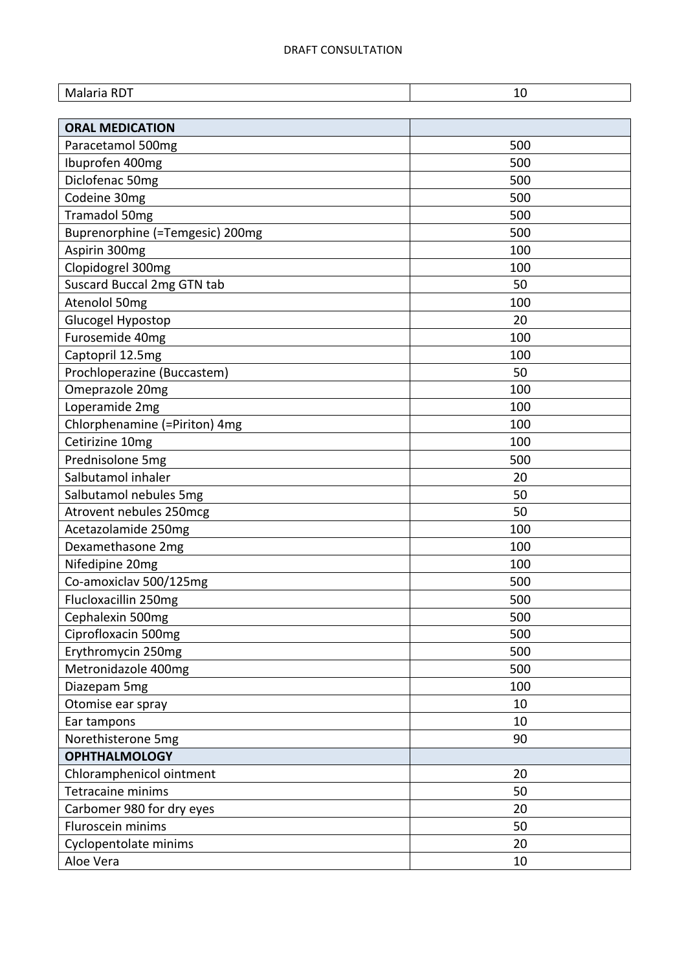| Malaria RDT                     | 10  |
|---------------------------------|-----|
| <b>ORAL MEDICATION</b>          |     |
| Paracetamol 500mg               | 500 |
| Ibuprofen 400mg                 | 500 |
| Diclofenac 50mg                 | 500 |
| Codeine 30mg                    | 500 |
| Tramadol 50mg                   | 500 |
| Buprenorphine (=Temgesic) 200mg | 500 |
| Aspirin 300mg                   | 100 |
| Clopidogrel 300mg               | 100 |
| Suscard Buccal 2mg GTN tab      | 50  |
| Atenolol 50mg                   | 100 |
| Glucogel Hypostop               | 20  |
| Furosemide 40mg                 | 100 |
| Captopril 12.5mg                | 100 |
| Prochloperazine (Buccastem)     | 50  |
| Omeprazole 20mg                 | 100 |
| Loperamide 2mg                  | 100 |
| Chlorphenamine (=Piriton) 4mg   | 100 |
| Cetirizine 10mg                 | 100 |
| Prednisolone 5mg                | 500 |
| Salbutamol inhaler              | 20  |
| Salbutamol nebules 5mg          | 50  |
| Atrovent nebules 250mcg         | 50  |
| Acetazolamide 250mg             | 100 |
| Dexamethasone 2mg               | 100 |
| Nifedipine 20mg                 | 100 |
| Co-amoxiclav 500/125mg          | 500 |
| Flucloxacillin 250mg            | 500 |
| Cephalexin 500mg                | 500 |
| Ciprofloxacin 500mg             | 500 |
| Erythromycin 250mg              | 500 |
| Metronidazole 400mg             | 500 |
| Diazepam 5mg                    | 100 |
| Otomise ear spray               | 10  |
| Ear tampons                     | 10  |
| Norethisterone 5mg              | 90  |
| <b>OPHTHALMOLOGY</b>            |     |
| Chloramphenicol ointment        | 20  |
| Tetracaine minims               | 50  |
| Carbomer 980 for dry eyes       | 20  |
| Fluroscein minims               | 50  |
| Cyclopentolate minims           | 20  |
| Aloe Vera                       | 10  |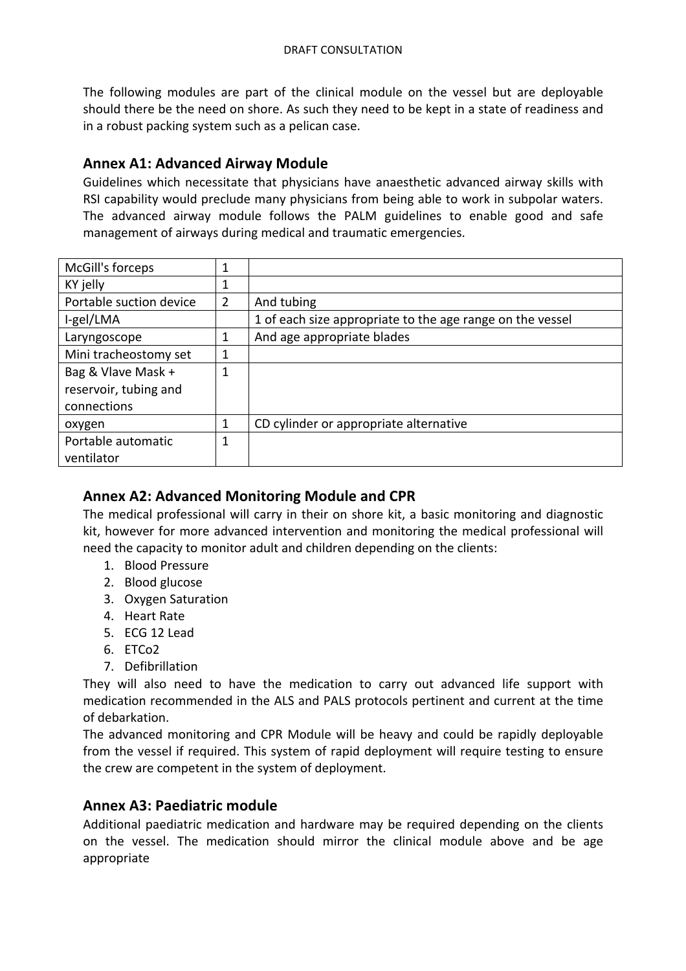The following modules are part of the clinical module on the vessel but are deployable should there be the need on shore. As such they need to be kept in a state of readiness and in a robust packing system such as a pelican case.

# **Annex A1: Advanced Airway Module**

Guidelines which necessitate that physicians have anaesthetic advanced airway skills with RSI capability would preclude many physicians from being able to work in subpolar waters. The advanced airway module follows the PALM guidelines to enable good and safe management of airways during medical and traumatic emergencies.

| McGill's forceps        | 1 |                                                           |
|-------------------------|---|-----------------------------------------------------------|
| KY jelly                |   |                                                           |
| Portable suction device | 2 | And tubing                                                |
| I-gel/LMA               |   | 1 of each size appropriate to the age range on the vessel |
| Laryngoscope            | 1 | And age appropriate blades                                |
| Mini tracheostomy set   | 1 |                                                           |
| Bag & Vlave Mask +      | 1 |                                                           |
| reservoir, tubing and   |   |                                                           |
| connections             |   |                                                           |
| oxygen                  | 1 | CD cylinder or appropriate alternative                    |
| Portable automatic      | 1 |                                                           |
| ventilator              |   |                                                           |

# **Annex A2: Advanced Monitoring Module and CPR**

The medical professional will carry in their on shore kit, a basic monitoring and diagnostic kit, however for more advanced intervention and monitoring the medical professional will need the capacity to monitor adult and children depending on the clients:

- 1. Blood Pressure
- 2. Blood glucose
- 3. Oxygen Saturation
- 4. Heart Rate
- 5. ECG 12 Lead
- 6. ETCo2
- 7. Defibrillation

They will also need to have the medication to carry out advanced life support with medication recommended in the ALS and PALS protocols pertinent and current at the time of debarkation.

The advanced monitoring and CPR Module will be heavy and could be rapidly deployable from the vessel if required. This system of rapid deployment will require testing to ensure the crew are competent in the system of deployment.

# **Annex A3: Paediatric module**

Additional paediatric medication and hardware may be required depending on the clients on the vessel. The medication should mirror the clinical module above and be age appropriate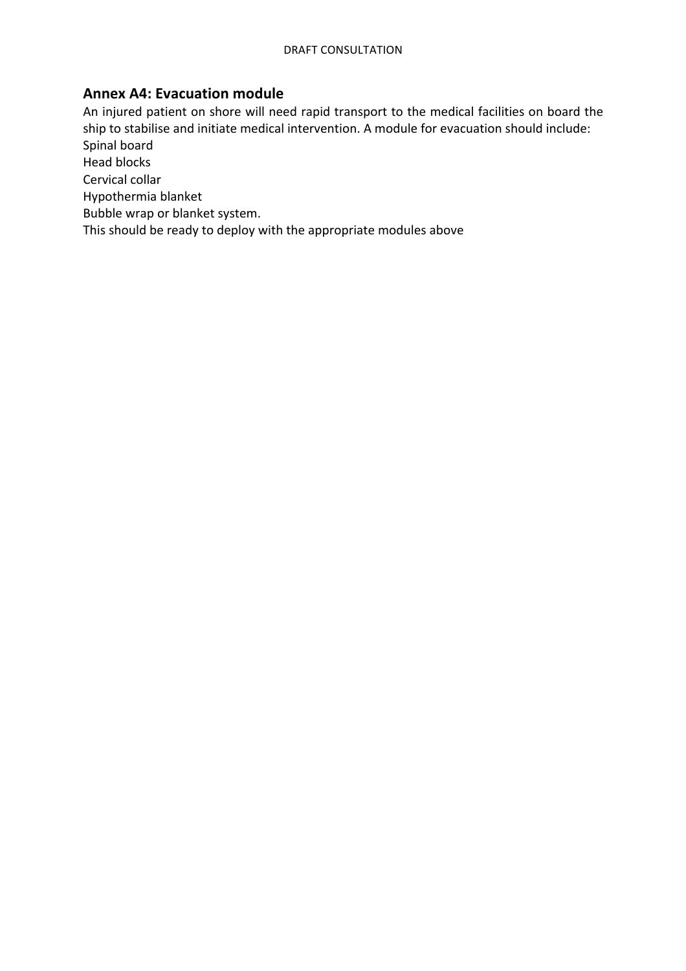# **Annex A4: Evacuation module**

An injured patient on shore will need rapid transport to the medical facilities on board the ship to stabilise and initiate medical intervention. A module for evacuation should include: Spinal board Head blocks

Cervical collar

Hypothermia blanket

Bubble wrap or blanket system.

This should be ready to deploy with the appropriate modules above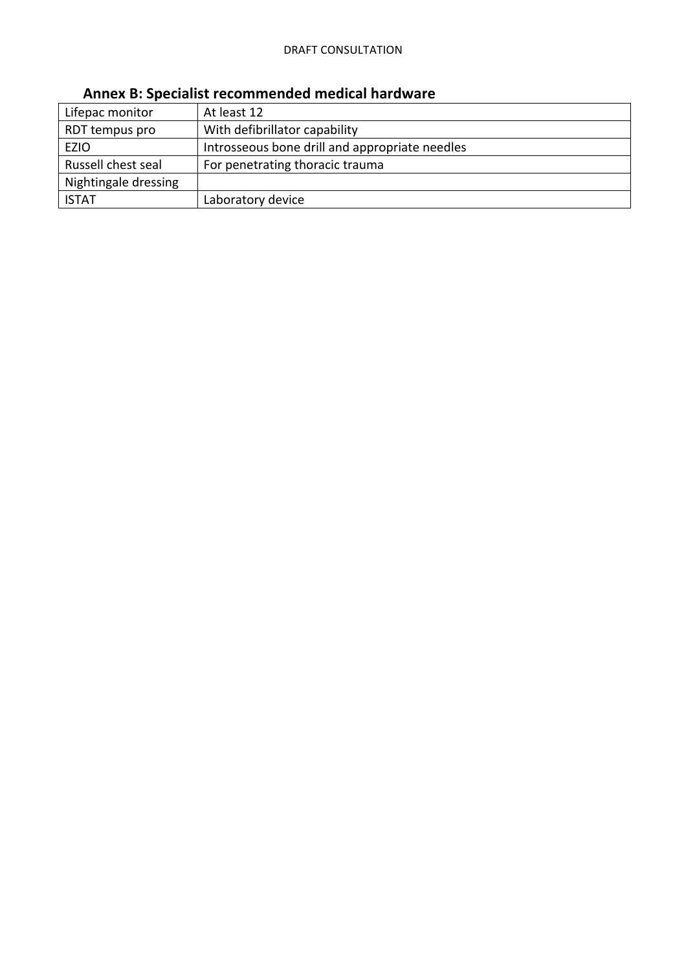| Lifepac monitor      | At least 12                                    |
|----------------------|------------------------------------------------|
| RDT tempus pro       | With defibrillator capability                  |
| <b>EZIO</b>          | Introsseous bone drill and appropriate needles |
| Russell chest seal   | For penetrating thoracic trauma                |
| Nightingale dressing |                                                |
| <b>ISTAT</b>         | Laboratory device                              |

# **Annex B: Specialist recommended medical hardware**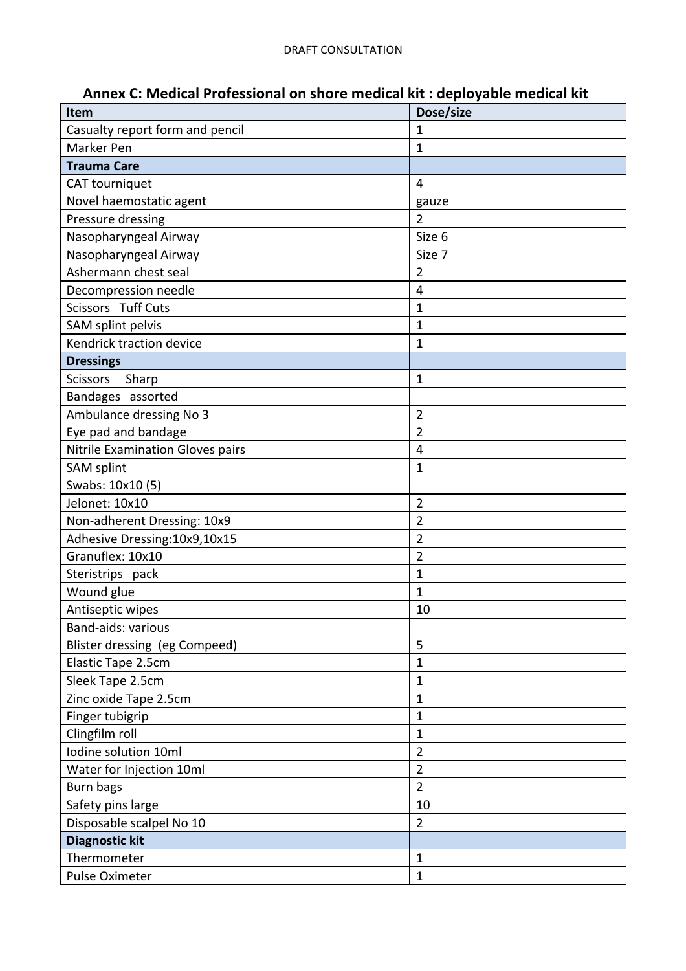| Item                             | Dose/size      |
|----------------------------------|----------------|
| Casualty report form and pencil  | $\mathbf{1}$   |
| Marker Pen                       | $\mathbf{1}$   |
| <b>Trauma Care</b>               |                |
| CAT tourniquet                   | $\overline{4}$ |
| Novel haemostatic agent          | gauze          |
| Pressure dressing                | $\overline{2}$ |
| Nasopharyngeal Airway            | Size 6         |
| Nasopharyngeal Airway            | Size 7         |
| Ashermann chest seal             | $\overline{2}$ |
| Decompression needle             | $\overline{4}$ |
| Scissors Tuff Cuts               | $\mathbf{1}$   |
| SAM splint pelvis                | $\mathbf 1$    |
| Kendrick traction device         | $\mathbf{1}$   |
| <b>Dressings</b>                 |                |
| <b>Scissors</b><br>Sharp         | $\mathbf{1}$   |
| Bandages assorted                |                |
| Ambulance dressing No 3          | $\overline{2}$ |
| Eye pad and bandage              | $\overline{2}$ |
| Nitrile Examination Gloves pairs | 4              |
| <b>SAM splint</b>                | $\mathbf{1}$   |
| Swabs: 10x10 (5)                 |                |
| Jelonet: 10x10                   | $\overline{2}$ |
| Non-adherent Dressing: 10x9      | $\overline{2}$ |
| Adhesive Dressing: 10x9, 10x15   | $\overline{2}$ |
| Granuflex: 10x10                 | $\overline{2}$ |
| Steristrips pack                 | $\mathbf{1}$   |
| Wound glue                       | $\mathbf 1$    |
| Antiseptic wipes                 | 10             |
| Band-aids: various               |                |
| Blister dressing (eg Compeed)    | 5              |
| Elastic Tape 2.5cm               | $\mathbf{1}$   |
| Sleek Tape 2.5cm                 | $\mathbf{1}$   |
| Zinc oxide Tape 2.5cm            | $\mathbf{1}$   |
| Finger tubigrip                  | $\mathbf{1}$   |
| Clingfilm roll                   | $\mathbf{1}$   |
| Iodine solution 10ml             | $\overline{2}$ |
| Water for Injection 10ml         | $\overline{2}$ |
| Burn bags                        | $\overline{2}$ |
| Safety pins large                | 10             |
| Disposable scalpel No 10         | $\overline{2}$ |
| <b>Diagnostic kit</b>            |                |
| Thermometer                      | $\mathbf{1}$   |
| Pulse Oximeter                   | $\mathbf{1}$   |

# Annex C: Medical Professional on shore medical kit : deployable medical kit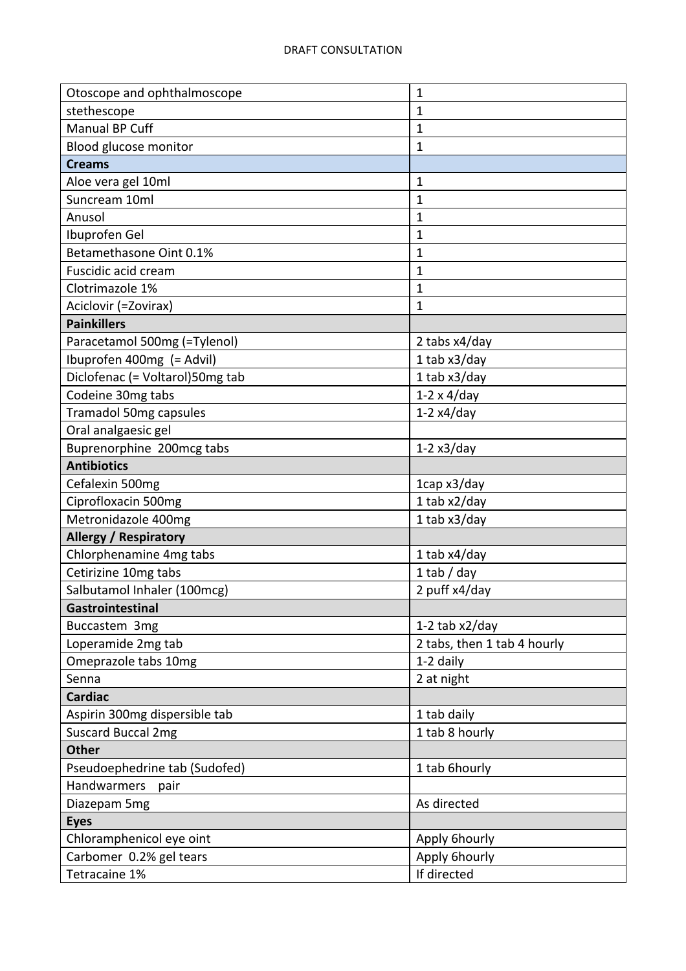| Otoscope and ophthalmoscope     | $\overline{1}$              |
|---------------------------------|-----------------------------|
| stethescope                     | $\overline{1}$              |
| Manual BP Cuff                  | $\mathbf{1}$                |
| Blood glucose monitor           | $\mathbf 1$                 |
| <b>Creams</b>                   |                             |
| Aloe vera gel 10ml              | $\mathbf 1$                 |
| Suncream 10ml                   | $\mathbf{1}$                |
| Anusol                          | 1                           |
| Ibuprofen Gel                   | $\overline{1}$              |
| Betamethasone Oint 0.1%         | $\mathbf{1}$                |
| Fuscidic acid cream             | $\mathbf{1}$                |
| Clotrimazole 1%                 | 1                           |
| Aciclovir (=Zovirax)            | $\mathbf{1}$                |
| <b>Painkillers</b>              |                             |
| Paracetamol 500mg (=Tylenol)    | 2 tabs x4/day               |
| Ibuprofen 400mg (= Advil)       | 1 tab x3/day                |
| Diclofenac (= Voltarol)50mg tab | 1 tab x3/day                |
| Codeine 30mg tabs               | $1-2 \times 4$ /day         |
| <b>Tramadol 50mg capsules</b>   | $1-2x4/day$                 |
| Oral analgaesic gel             |                             |
| Buprenorphine 200mcg tabs       | $1-2x3/day$                 |
| <b>Antibiotics</b>              |                             |
| Cefalexin 500mg                 | 1cap x3/day                 |
| Ciprofloxacin 500mg             | 1 tab x2/day                |
| Metronidazole 400mg             | 1 tab $x3$ /day             |
| <b>Allergy / Respiratory</b>    |                             |
| Chlorphenamine 4mg tabs         | 1 tab $x4$ /day             |
| Cetirizine 10mg tabs            | $1$ tab / day               |
| Salbutamol Inhaler (100mcg)     | 2 puff x4/day               |
| Gastrointestinal                |                             |
| Buccastem 3mg                   | 1-2 tab $x2$ /day           |
| Loperamide 2mg tab              | 2 tabs, then 1 tab 4 hourly |
| Omeprazole tabs 10mg            | 1-2 daily                   |
| Senna                           | 2 at night                  |
| <b>Cardiac</b>                  |                             |
| Aspirin 300mg dispersible tab   | 1 tab daily                 |
| <b>Suscard Buccal 2mg</b>       | 1 tab 8 hourly              |
| <b>Other</b>                    |                             |
| Pseudoephedrine tab (Sudofed)   | 1 tab 6hourly               |
| Handwarmers<br>pair             |                             |
| Diazepam 5mg                    | As directed                 |
| <b>Eyes</b>                     |                             |
| Chloramphenicol eye oint        | Apply 6hourly               |
| Carbomer 0.2% gel tears         | Apply 6hourly               |
| Tetracaine 1%                   | If directed                 |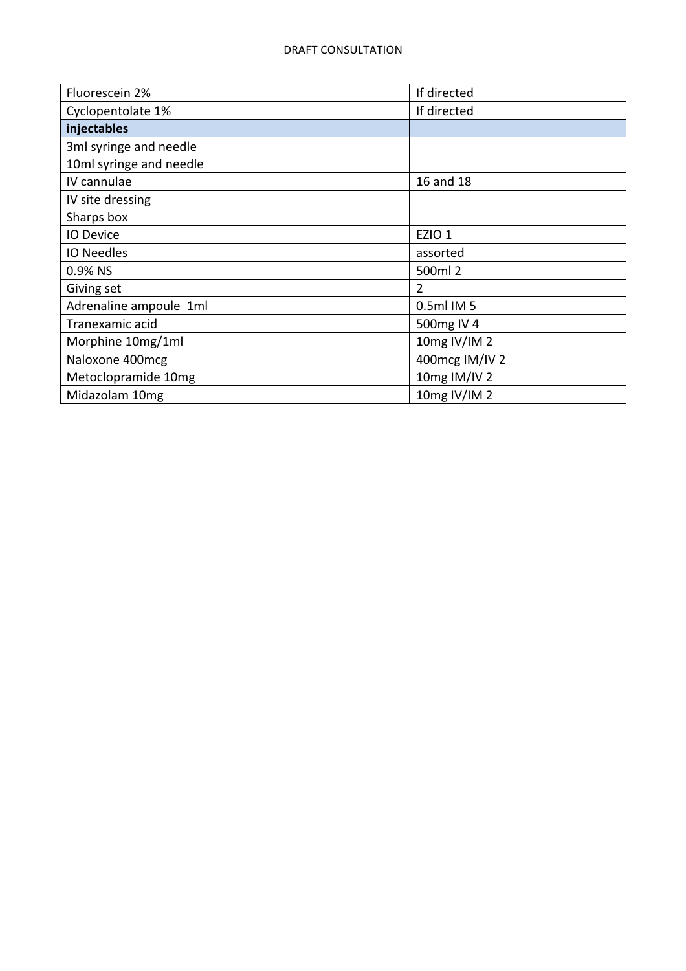| Fluorescein 2%          | If directed    |
|-------------------------|----------------|
| Cyclopentolate 1%       | If directed    |
| injectables             |                |
| 3ml syringe and needle  |                |
| 10ml syringe and needle |                |
| IV cannulae             | 16 and 18      |
| IV site dressing        |                |
| Sharps box              |                |
| <b>IO Device</b>        | EZIO 1         |
| <b>IO Needles</b>       | assorted       |
| 0.9% NS                 | 500ml 2        |
| Giving set              | $\overline{2}$ |
| Adrenaline ampoule 1ml  | 0.5ml IM 5     |
| Tranexamic acid         | 500mg IV 4     |
| Morphine 10mg/1ml       | 10mg IV/IM 2   |
| Naloxone 400mcg         | 400mcg IM/IV 2 |
| Metoclopramide 10mg     | 10mg IM/IV 2   |
| Midazolam 10mg          | 10mg IV/IM 2   |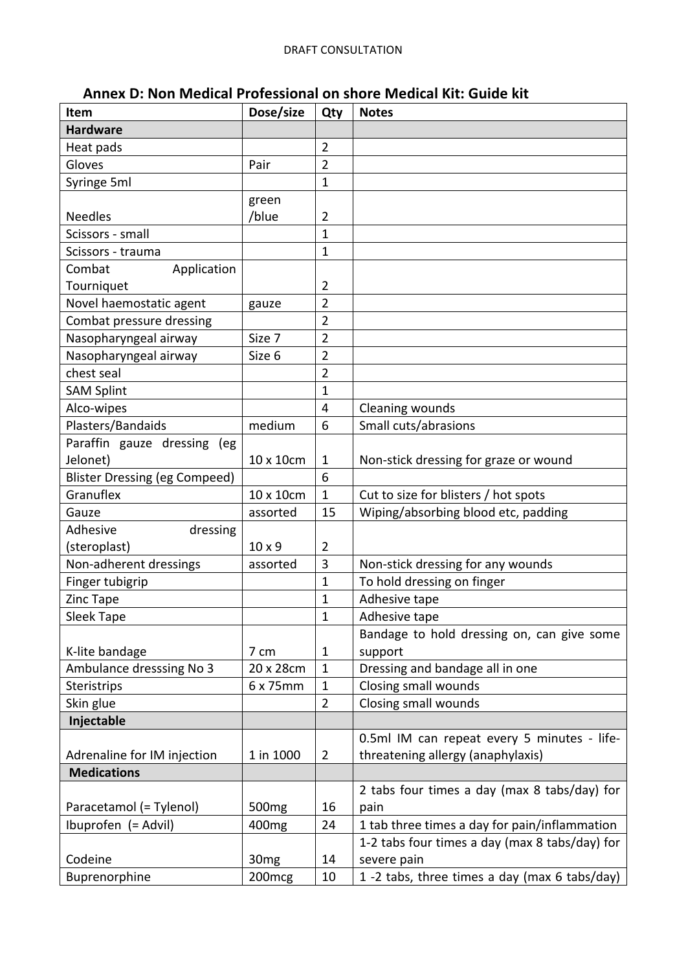| Annex D: Non Medical Professional on shore Medical Kit: Guide kit |  |  |
|-------------------------------------------------------------------|--|--|
|-------------------------------------------------------------------|--|--|

| Item                                 | Dose/size          | Qty            | <b>Notes</b>                                   |
|--------------------------------------|--------------------|----------------|------------------------------------------------|
| <b>Hardware</b>                      |                    |                |                                                |
| Heat pads                            |                    | 2              |                                                |
| Gloves                               | Pair               | $\overline{2}$ |                                                |
| Syringe 5ml                          |                    | $\mathbf 1$    |                                                |
|                                      | green              |                |                                                |
| <b>Needles</b>                       | /blue              | 2              |                                                |
| Scissors - small                     |                    | $\overline{1}$ |                                                |
| Scissors - trauma                    |                    | $\mathbf{1}$   |                                                |
| Combat<br>Application                |                    |                |                                                |
| Tourniquet                           |                    | 2              |                                                |
| Novel haemostatic agent              | gauze              | $\overline{2}$ |                                                |
| Combat pressure dressing             |                    | $\overline{2}$ |                                                |
| Nasopharyngeal airway                | Size 7             | $\overline{2}$ |                                                |
| Nasopharyngeal airway                | Size 6             | 2              |                                                |
| chest seal                           |                    | $\overline{2}$ |                                                |
| <b>SAM Splint</b>                    |                    | $\mathbf{1}$   |                                                |
| Alco-wipes                           |                    | 4              | Cleaning wounds                                |
| Plasters/Bandaids                    | medium             | 6              | Small cuts/abrasions                           |
| Paraffin gauze dressing<br>(eg       |                    |                |                                                |
| Jelonet)                             | 10 x 10cm          | $\mathbf{1}$   | Non-stick dressing for graze or wound          |
| <b>Blister Dressing (eg Compeed)</b> |                    | 6              |                                                |
| Granuflex                            | 10 x 10cm          | $\mathbf{1}$   | Cut to size for blisters / hot spots           |
| Gauze                                | assorted           | 15             | Wiping/absorbing blood etc, padding            |
| Adhesive<br>dressing                 |                    |                |                                                |
| (steroplast)                         | $10 \times 9$      | $\overline{2}$ |                                                |
| Non-adherent dressings               | assorted           | 3              | Non-stick dressing for any wounds              |
| Finger tubigrip                      |                    | $\mathbf 1$    | To hold dressing on finger                     |
| Zinc Tape                            |                    | $\mathbf 1$    | Adhesive tape                                  |
| Sleek Tape                           |                    | $\mathbf{1}$   | Adhesive tape                                  |
|                                      |                    |                | Bandage to hold dressing on, can give some     |
| K-lite bandage                       | 7 cm               | $\mathbf{1}$   | support                                        |
| Ambulance dresssing No 3             | 20 x 28cm          | $\mathbf{1}$   | Dressing and bandage all in one                |
| <b>Steristrips</b>                   | 6 x 75mm           | $\mathbf{1}$   | Closing small wounds                           |
| Skin glue                            |                    | $\overline{2}$ | Closing small wounds                           |
| Injectable                           |                    |                |                                                |
|                                      |                    |                | 0.5ml IM can repeat every 5 minutes - life-    |
| Adrenaline for IM injection          | 1 in 1000          | $\overline{2}$ | threatening allergy (anaphylaxis)              |
| <b>Medications</b>                   |                    |                |                                                |
|                                      |                    |                | 2 tabs four times a day (max 8 tabs/day) for   |
| Paracetamol (= Tylenol)              | 500 <sub>mg</sub>  | 16             | pain                                           |
| Ibuprofen (= Advil)                  | 400 <sub>mg</sub>  | 24             | 1 tab three times a day for pain/inflammation  |
|                                      |                    |                | 1-2 tabs four times a day (max 8 tabs/day) for |
| Codeine                              | 30 <sub>mg</sub>   | 14             | severe pain                                    |
| Buprenorphine                        | 200 <sub>mcg</sub> | 10             | 1 -2 tabs, three times a day (max 6 tabs/day)  |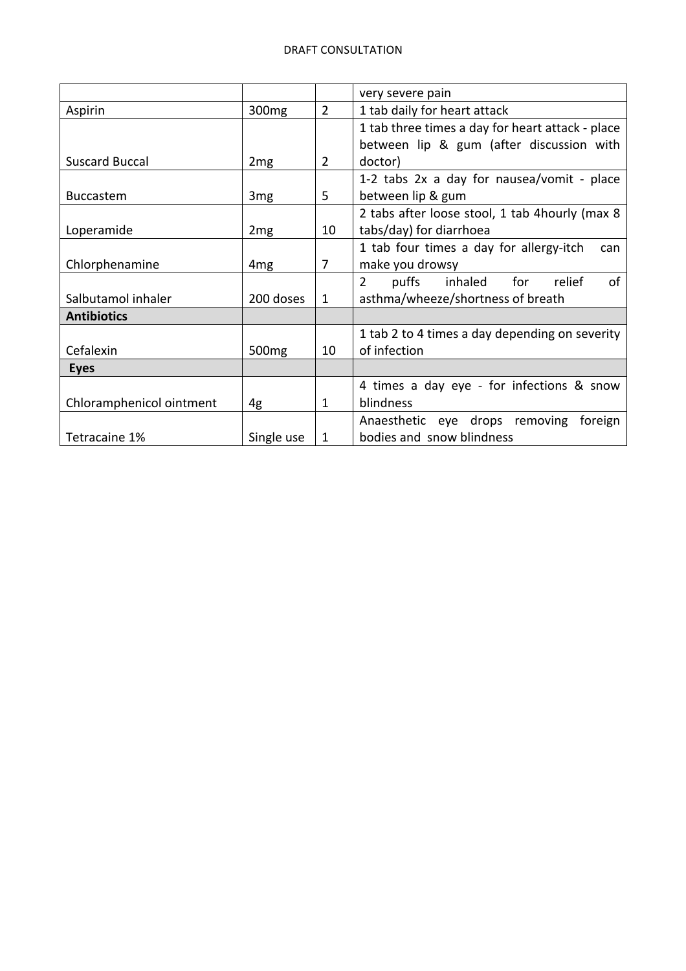|                          |                   |                | very severe pain                                 |
|--------------------------|-------------------|----------------|--------------------------------------------------|
| Aspirin                  | 300 <sub>mg</sub> | $\overline{2}$ | 1 tab daily for heart attack                     |
|                          |                   |                | 1 tab three times a day for heart attack - place |
|                          |                   |                | between lip & gum (after discussion with         |
| <b>Suscard Buccal</b>    | 2mg               | 2              | doctor)                                          |
|                          |                   |                | 1-2 tabs 2x a day for nausea/vomit - place       |
| <b>Buccastem</b>         | 3 <sub>mg</sub>   | 5              | between lip & gum                                |
|                          |                   |                | 2 tabs after loose stool, 1 tab 4 hourly (max 8  |
| Loperamide               | 2mg               | 10             | tabs/day) for diarrhoea                          |
|                          |                   |                | 1 tab four times a day for allergy-itch<br>can   |
| Chlorphenamine           | 4 <sub>mg</sub>   | 7              | make you drowsy                                  |
|                          |                   |                | puffs<br>inhaled for relief<br>$2^{\circ}$<br>of |
| Salbutamol inhaler       | 200 doses         | 1              | asthma/wheeze/shortness of breath                |
| <b>Antibiotics</b>       |                   |                |                                                  |
|                          |                   |                | 1 tab 2 to 4 times a day depending on severity   |
| Cefalexin                | 500 <sub>mg</sub> | 10             | of infection                                     |
| <b>Eyes</b>              |                   |                |                                                  |
|                          |                   |                | 4 times a day eye - for infections & snow        |
| Chloramphenicol ointment | 4g                | 1              | blindness                                        |
|                          |                   |                | Anaesthetic eye drops removing<br>foreign        |
| Tetracaine 1%            | Single use        | 1              | bodies and snow blindness                        |